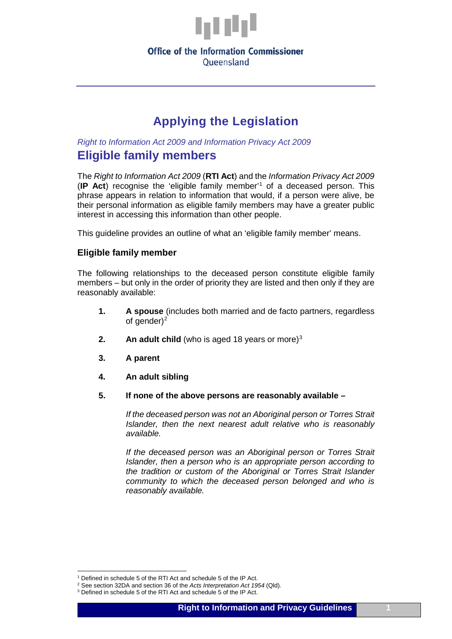

#### **Office of the Information Commissioner** Oueensland

# **Applying the Legislation**

*Right to Information Act 2009 and Information Privacy Act 2009*

# **Eligible family members**

The *Right to Information Act 2009* (**RTI Act**) and the *Information Privacy Act 2009*  (**IP Act**) recognise the 'eligible family member'[1](#page-0-0) of a deceased person. This phrase appears in relation to information that would, if a person were alive, be their personal information as eligible family members may have a greater public interest in accessing this information than other people.

This guideline provides an outline of what an 'eligible family member' means.

## **Eligible family member**

The following relationships to the deceased person constitute eligible family members – but only in the order of priority they are listed and then only if they are reasonably available:

- **1. A spouse** (includes both married and de facto partners, regardless of gender $)^2$
- **2. An adult child** (who is aged 18 years or more)<sup>[3](#page-0-2)</sup>
- **3. A parent**
- **4. An adult sibling**
- **5. If none of the above persons are reasonably available –**

*If the deceased person was not an Aboriginal person or Torres Strait Islander, then the next nearest adult relative who is reasonably available.*

*If the deceased person was an Aboriginal person or Torres Strait Islander, then a person who is an appropriate person according to the tradition or custom of the Aboriginal or Torres Strait Islander community to which the deceased person belonged and who is reasonably available.*

 <sup>1</sup> Defined in schedule 5 of the RTI Act and schedule 5 of the IP Act.

<span id="page-0-1"></span><span id="page-0-0"></span><sup>2</sup> See section 32DA and section 36 of the *Acts Interpretation Act 1954* (Qld)*.*

<span id="page-0-2"></span><sup>&</sup>lt;sup>3</sup> Defined in schedule 5 of the RTI Act and schedule 5 of the IP Act.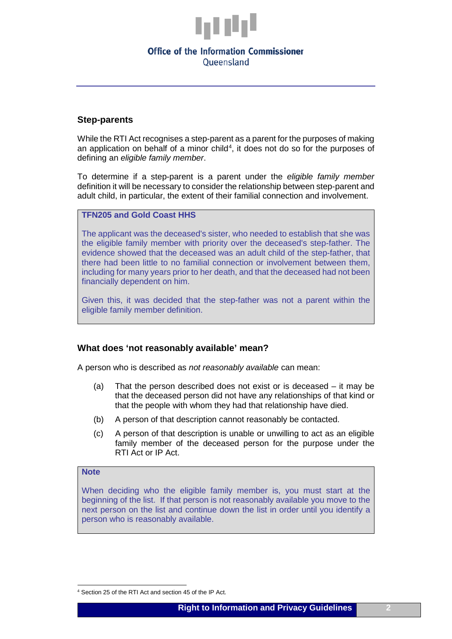

#### **Office of the Information Commissioner** Oueensland

#### **Step-parents**

While the RTI Act recognises a step-parent as a parent for the purposes of making an application on behalf of a minor child<sup>[4](#page-1-0)</sup>, it does not do so for the purposes of defining an *eligible family member*.

To determine if a step-parent is a parent under the *eligible family member* definition it will be necessary to consider the relationship between step-parent and adult child, in particular, the extent of their familial connection and involvement.

#### **TFN205 and Gold Coast HHS**

The applicant was the deceased's sister, who needed to establish that she was the eligible family member with priority over the deceased's step-father. The evidence showed that the deceased was an adult child of the step-father, that there had been little to no familial connection or involvement between them, including for many years prior to her death, and that the deceased had not been financially dependent on him.

Given this, it was decided that the step-father was not a parent within the eligible family member definition.

#### **What does 'not reasonably available' mean?**

A person who is described as *not reasonably available* can mean:

- (a) That the person described does not exist or is deceased it may be that the deceased person did not have any relationships of that kind or that the people with whom they had that relationship have died.
- (b) A person of that description cannot reasonably be contacted.
- (c) A person of that description is unable or unwilling to act as an eligible family member of the deceased person for the purpose under the RTI Act or IP Act.

#### **Note**

When deciding who the eligible family member is, you must start at the beginning of the list. If that person is not reasonably available you move to the next person on the list and continue down the list in order until you identify a person who is reasonably available.

<span id="page-1-0"></span> <sup>4</sup> Section 25 of the RTI Act and section 45 of the IP Act.